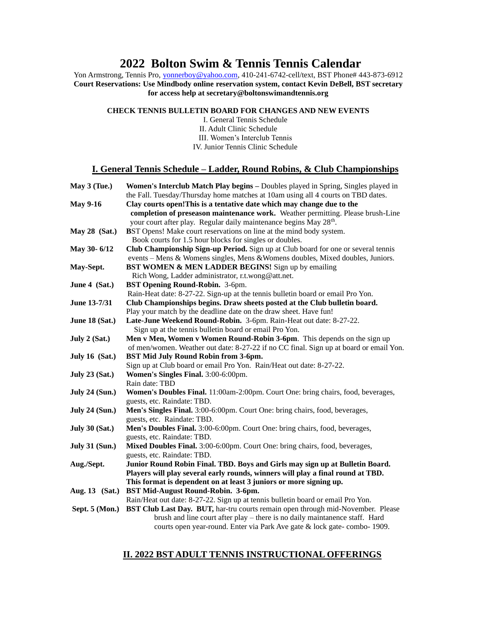# **2022 Bolton Swim & Tennis Tennis Calendar**

Yon Armstrong, Tennis Pro, *yonnerboy@yahoo.com*, 410-241-6742-cell/text, BST Phone# 443-873-6912 **Court Reservations: Use Mindbody online reservation system, contact Kevin DeBell, BST secretary for access help at secretary@boltonswimandtennis.org**

#### **CHECK TENNIS BULLETIN BOARD FOR CHANGES AND NEW EVENTS**

I. General Tennis Schedule II. Adult Clinic Schedule III. Women's Interclub Tennis IV. Junior Tennis Clinic Schedule

### **I. General Tennis Schedule – Ladder, Round Robins, & Club Championships**

| May $3$ (Tue.)        | Women's Interclub Match Play begins - Doubles played in Spring, Singles played in              |
|-----------------------|------------------------------------------------------------------------------------------------|
|                       | the Fall. Tuesday/Thursday home matches at 10am using all 4 courts on TBD dates.               |
| <b>May 9-16</b>       | Clay courts open! This is a tentative date which may change due to the                         |
|                       | completion of preseason maintenance work. Weather permitting. Please brush-Line                |
|                       | your court after play. Regular daily maintenance begins May 28 <sup>th</sup> .                 |
| May 28 (Sat.)         | BST Opens! Make court reservations on line at the mind body system.                            |
|                       | Book courts for 1.5 hour blocks for singles or doubles.                                        |
| May 30-6/12           | Club Championship Sign-up Period. Sign up at Club board for one or several tennis              |
|                       | events - Mens & Womens singles, Mens & Womens doubles, Mixed doubles, Juniors.                 |
| May-Sept.             | <b>BST WOMEN &amp; MEN LADDER BEGINS!</b> Sign up by emailing                                  |
|                       | Rich Wong, Ladder administrator, r.t.wong@att.net.                                             |
| June 4 (Sat.)         | BST Opening Round-Robin. 3-6pm.                                                                |
|                       | Rain-Heat date: 8-27-22. Sign-up at the tennis bulletin board or email Pro Yon.                |
| June 13-7/31          | Club Championships begins. Draw sheets posted at the Club bulletin board.                      |
|                       | Play your match by the deadline date on the draw sheet. Have fun!                              |
| June 18 (Sat.)        | Late-June Weekend Round-Robin. 3-6pm. Rain-Heat out date: 8-27-22.                             |
|                       | Sign up at the tennis bulletin board or email Pro Yon.                                         |
| July 2 $(Sat.)$       | Men v Men, Women v Women Round-Robin 3-6pm. This depends on the sign up                        |
|                       | of men/women. Weather out date: 8-27-22 if no CC final. Sign up at board or email Yon.         |
| July $16$ (Sat.)      | <b>BST Mid July Round Robin from 3-6pm.</b>                                                    |
|                       | Sign up at Club board or email Pro Yon. Rain/Heat out date: 8-27-22.                           |
| <b>July 23 (Sat.)</b> | Women's Singles Final. 3:00-6:00pm.                                                            |
|                       | Rain date: TBD                                                                                 |
| <b>July 24 (Sun.)</b> | Women's Doubles Final. 11:00am-2:00pm. Court One: bring chairs, food, beverages,               |
|                       | guests, etc. Raindate: TBD.                                                                    |
| <b>July 24 (Sun.)</b> | Men's Singles Final. 3:00-6:00pm. Court One: bring chairs, food, beverages,                    |
|                       | guests, etc. Raindate: TBD.                                                                    |
| <b>July 30 (Sat.)</b> | Men's Doubles Final. 3:00-6:00pm. Court One: bring chairs, food, beverages,                    |
|                       | guests, etc. Raindate: TBD.                                                                    |
| <b>July 31 (Sun.)</b> | Mixed Doubles Final. 3:00-6:00pm. Court One: bring chairs, food, beverages,                    |
|                       | guests, etc. Raindate: TBD.                                                                    |
| Aug./Sept.            | Junior Round Robin Final. TBD. Boys and Girls may sign up at Bulletin Board.                   |
|                       | Players will play several early rounds, winners will play a final round at TBD.                |
|                       | This format is dependent on at least 3 juniors or more signing up.                             |
| Aug. 13 (Sat.)        | BST Mid-August Round-Robin. 3-6pm.                                                             |
|                       | Rain/Heat out date: 8-27-22. Sign up at tennis bulletin board or email Pro Yon.                |
|                       | Sept. 5 (Mon.) BST Club Last Day. BUT, har-tru courts remain open through mid-November. Please |
|                       | brush and line court after play - there is no daily maintanence staff. Hard                    |
|                       | courts open year-round. Enter via Park Ave gate & lock gate-combo- 1909.                       |

### **II. 2022 BST ADULT TENNIS INSTRUCTIONAL OFFERINGS**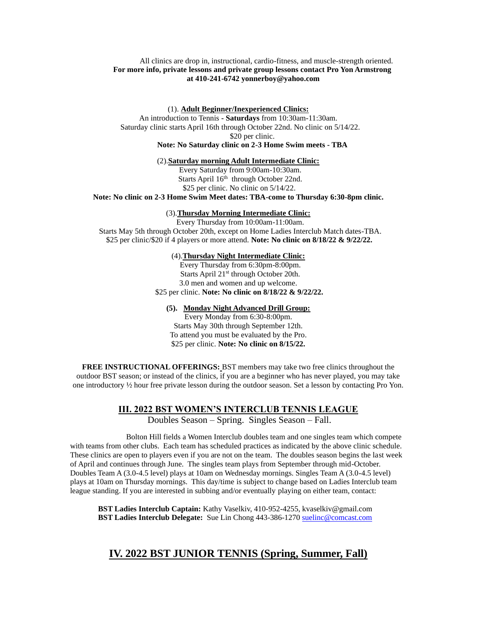#### All clinics are drop in, instructional, cardio-fitness, and muscle-strength oriented. **For more info, private lessons and private group lessons contact Pro Yon Armstrong at 410-241-6742 [yonnerboy@yahoo.com](mailto:yonnerboy@yahoo.com)**

(1). **Adult Beginner/Inexperienced Clinics:**

An introduction to Tennis **- Saturdays** from 10:30am-11:30am. Saturday clinic starts April 16th through October 22nd. No clinic on 5/14/22. \$20 per clinic.

### **Note: No Saturday clinic on 2-3 Home Swim meets - TBA**

#### (2).**Saturday morning Adult Intermediate Clinic:**

Every Saturday from 9:00am-10:30am. Starts April 16<sup>th</sup> through October 22nd. \$25 per clinic. No clinic on 5/14/22.

**Note: No clinic on 2-3 Home Swim Meet dates: TBA-come to Thursday 6:30-8pm clinic.**

#### (3).**Thursday Morning Intermediate Clinic:**

Every Thursday from 10:00am-11:00am. Starts May 5th through October 20th, except on Home Ladies Interclub Match dates-TBA. \$25 per clinic/\$20 if 4 players or more attend. **Note: No clinic on 8/18/22 & 9/22/22.**

#### (4).**Thursday Night Intermediate Clinic:**

Every Thursday from 6:30pm-8:00pm. Starts April 21<sup>st</sup> through October 20th. 3.0 men and women and up welcome. \$25 per clinic. **Note: No clinic on 8/18/22 & 9/22/22.**

### **(5). Monday Night Advanced Drill Group:**

Every Monday from 6:30-8:00pm. Starts May 30th through September 12th. To attend you must be evaluated by the Pro. \$25 per clinic. **Note: No clinic on 8/15/22.**

**FREE INSTRUCTIONAL OFFERINGS:** BST members may take two free clinics throughout the outdoor BST season; or instead of the clinics, if you are a beginner who has never played, you may take one introductory ½ hour free private lesson during the outdoor season. Set a lesson by contacting Pro Yon.

### **III. 2022 BST WOMEN'S INTERCLUB TENNIS LEAGUE**

Doubles Season – Spring. Singles Season – Fall.

Bolton Hill fields a Women Interclub doubles team and one singles team which compete with teams from other clubs. Each team has scheduled practices as indicated by the above clinic schedule. These clinics are open to players even if you are not on the team. The doubles season begins the last week of April and continues through June. The singles team plays from September through mid-October. Doubles Team A (3.0-4.5 level) plays at 10am on Wednesday mornings. Singles Team A (3.0-4.5 level) plays at 10am on Thursday mornings. This day/time is subject to change based on Ladies Interclub team league standing. If you are interested in subbing and/or eventually playing on either team, contact:

**BST Ladies Interclub Captain:** Kathy Vaselkiv, 410-952-4255, kvaselkiv@gmail.com **BST Ladies Interclub Delegate:** Sue Lin Chong 443-386-127[0 suelinc@comcast.com](mailto:suelinc@comcast.com)

## **IV. 2022 BST JUNIOR TENNIS (Spring, Summer, Fall)**